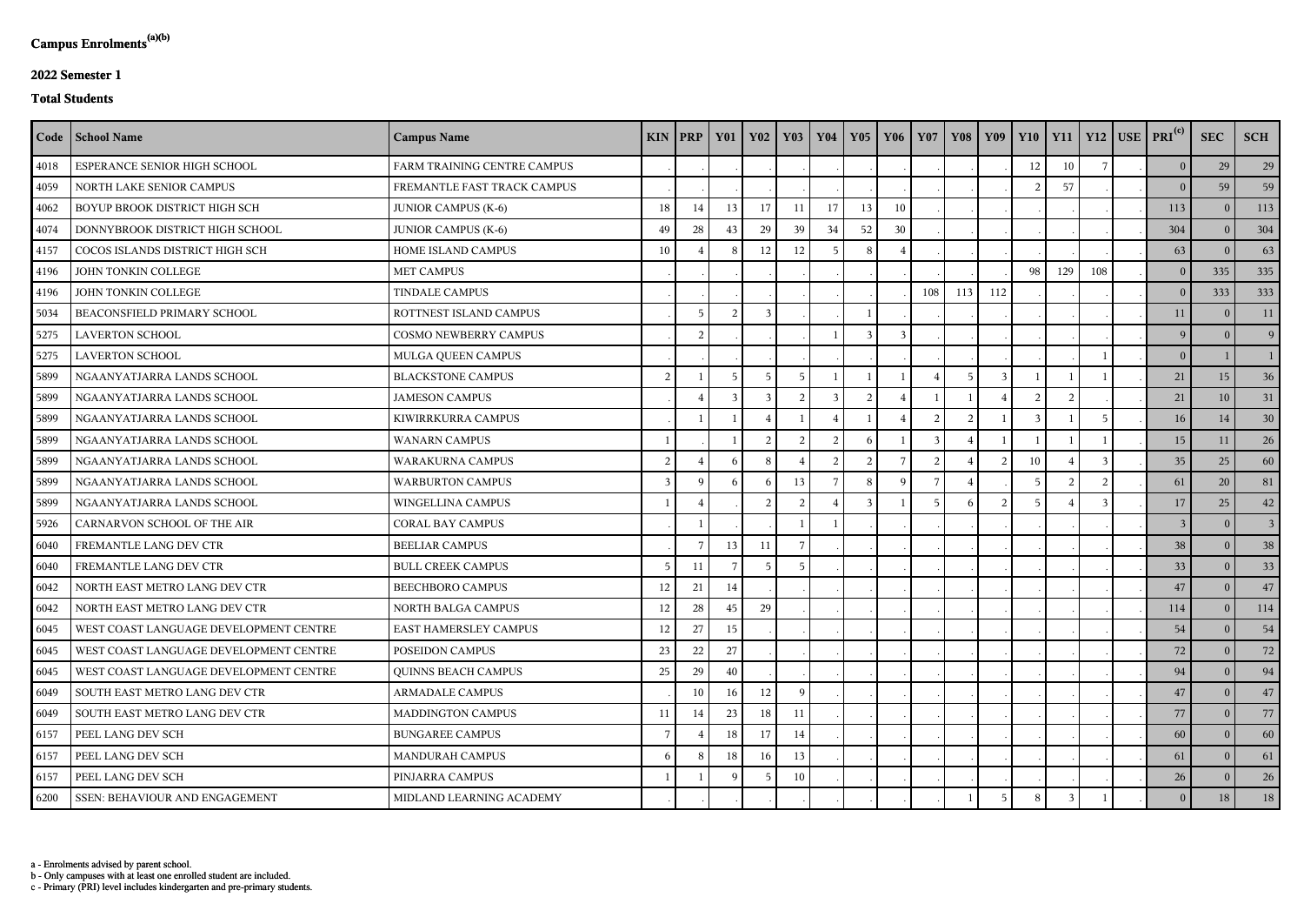c - Primary (PRI) level includes kindergarten and pre-primary students.

b - Only campuses with at least one enrolled student are included.

a - Enrolments advised by parent school.

## **2022 Semester 1**

## **Total Students**

|      | Code   School Name                     | <b>Campus Name</b>           | KIN | <b>PRP</b>  | <b>Y01</b> | <b>Y02</b>    | $\vert$ Y <sub>03</sub> | <b>Y04</b>     | <b>Y05</b>    | Y06      | <b>Y07</b> | <b>Y08</b> | Y09 | $Y10$   $Y11$ |     |     | $Y12$ USE PRI <sup>(c)</sup> | <b>SEC</b>     | <b>SCH</b>     |
|------|----------------------------------------|------------------------------|-----|-------------|------------|---------------|-------------------------|----------------|---------------|----------|------------|------------|-----|---------------|-----|-----|------------------------------|----------------|----------------|
| 4018 | ESPERANCE SENIOR HIGH SCHOOL           | FARM TRAINING CENTRE CAMPUS  |     |             |            |               |                         |                |               |          |            |            |     | 12            | 10  |     | 0 <sup>1</sup>               | 29             | 29             |
| 4059 | NORTH LAKE SENIOR CAMPUS               | FREMANTLE FAST TRACK CAMPUS  |     |             |            |               |                         |                |               |          |            |            |     |               | 57  |     | $\theta$                     | 59             | 59             |
| 4062 | BOYUP BROOK DISTRICT HIGH SCH          | <b>JUNIOR CAMPUS (K-6)</b>   | 18  | 14          | 13         | 17            |                         | 17             | 13            | 10       |            |            |     |               |     |     | 113                          | $\theta$       | 113            |
| 4074 | DONNYBROOK DISTRICT HIGH SCHOOL        | <b>JUNIOR CAMPUS (K-6)</b>   | 49  | 28          | 43         | 29            | 39                      | 34             | 52            | 30       |            |            |     |               |     |     | 304                          | $\theta$       | 304            |
| 4157 | COCOS ISLANDS DISTRICT HIGH SCH        | HOME ISLAND CAMPUS           | 10  |             | -8         | 12            | 12                      | -5             | 8             |          |            |            |     |               |     |     | 63                           | $\theta$       | 63             |
| 4196 | JOHN TONKIN COLLEGE                    | <b>MET CAMPUS</b>            |     |             |            |               |                         |                |               |          |            |            |     | 98            | 129 | 108 | $\overline{0}$               | 335            | 335            |
| 4196 | JOHN TONKIN COLLEGE                    | <b>TINDALE CAMPUS</b>        |     |             |            |               |                         |                |               |          | 108        | 113        | 112 |               |     |     | 0 <sup>1</sup>               | 333            | 333            |
| 5034 | BEACONSFIELD PRIMARY SCHOOL            | ROTTNEST ISLAND CAMPUS       |     | 5           |            |               |                         |                |               |          |            |            |     |               |     |     | 11                           | $\theta$       | 11             |
| 5275 | <b>LAVERTON SCHOOL</b>                 | <b>COSMO NEWBERRY CAMPUS</b> |     | 2           |            |               |                         |                | $\mathcal{E}$ | 3        |            |            |     |               |     |     | 9 <sup>1</sup>               |                | 9              |
| 5275 | <b>LAVERTON SCHOOL</b>                 | MULGA QUEEN CAMPUS           |     |             |            |               |                         |                |               |          |            |            |     |               |     |     | $\overline{0}$               |                |                |
| 5899 | NGAANYATJARRA LANDS SCHOOL             | <b>BLACKSTONE CAMPUS</b>     | 2   |             |            |               |                         |                |               |          |            |            |     |               |     |     | 21                           | 15             | 36             |
| 5899 | NGAANYATJARRA LANDS SCHOOL             | <b>JAMESON CAMPUS</b>        |     |             |            |               |                         |                |               |          |            |            |     |               |     |     | 21                           | 10             | 31             |
| 5899 | NGAANYATJARRA LANDS SCHOOL             | KIWIRRKURRA CAMPUS           |     |             |            |               |                         |                |               |          |            |            |     |               |     |     | 16                           | 14             | 30             |
| 5899 | NGAANYATJARRA LANDS SCHOOL             | <b>WANARN CAMPUS</b>         |     |             |            | $\mathcal{L}$ | $\mathcal{D}$           | $\mathcal{D}$  | $\mathbf{a}$  |          | 3          |            |     |               |     |     | 15                           | 11             | 26             |
| 5899 | NGAANYATJARRA LANDS SCHOOL             | WARAKURNA CAMPUS             | 2   |             | -6         | -8            |                         | $\overline{2}$ | 2             |          | 2          |            |     | 10            |     |     | 35                           | 25             | 60             |
| 5899 | NGAANYATJARRA LANDS SCHOOL             | <b>WARBURTON CAMPUS</b>      | 3   | $\mathbf Q$ |            |               | 13                      |                |               | $\Omega$ |            |            |     |               |     |     | 61                           | 20             | 81             |
| 5899 | NGAANYATJARRA LANDS SCHOOL             | WINGELLINA CAMPUS            |     |             |            | 2             | ി                       |                |               |          |            |            |     |               |     |     | 17 <sup>1</sup>              | 25             | 42             |
| 5926 | CARNARVON SCHOOL OF THE AIR            | <b>CORAL BAY CAMPUS</b>      |     |             |            |               |                         |                |               |          |            |            |     |               |     |     | 3                            | $\Omega$       | 3 <sup>1</sup> |
| 6040 | FREMANTLE LANG DEV CTR                 | <b>BEELIAR CAMPUS</b>        |     |             | 13         | 11            |                         |                |               |          |            |            |     |               |     |     | 38                           | $\theta$       | 38             |
| 6040 | FREMANTLE LANG DEV CTR                 | <b>BULL CREEK CAMPUS</b>     | 5   | 11          |            | -5            | -5                      |                |               |          |            |            |     |               |     |     | 33                           | $\theta$       | 33             |
| 6042 | NORTH EAST METRO LANG DEV CTR          | <b>BEECHBORO CAMPUS</b>      | 12  | 21          | 14         |               |                         |                |               |          |            |            |     |               |     |     | 47                           | $\overline{0}$ | 47             |
| 6042 | NORTH EAST METRO LANG DEV CTR          | NORTH BALGA CAMPUS           | 12  | 28          | 45         | 29            |                         |                |               |          |            |            |     |               |     |     | 114                          | $\mathbf{0}$   | 114            |
| 6045 | WEST COAST LANGUAGE DEVELOPMENT CENTRE | EAST HAMERSLEY CAMPUS        | 12  | 27          | 15         |               |                         |                |               |          |            |            |     |               |     |     | 54                           | $\bf{0}$       | 54             |
| 6045 | WEST COAST LANGUAGE DEVELOPMENT CENTRE | POSEIDON CAMPUS              | 23  | 22          | 27         |               |                         |                |               |          |            |            |     |               |     |     | 72                           | $\theta$       | 72             |
| 6045 | WEST COAST LANGUAGE DEVELOPMENT CENTRE | <b>QUINNS BEACH CAMPUS</b>   | 25  | 29          | 40         |               |                         |                |               |          |            |            |     |               |     |     | 94                           | $\bf{0}$       | 94             |
| 6049 | SOUTH EAST METRO LANG DEV CTR          | <b>ARMADALE CAMPUS</b>       |     | 10          | 16         | 12            | Q                       |                |               |          |            |            |     |               |     |     | 47                           | $\bf{0}$       | 47             |
| 6049 | SOUTH EAST METRO LANG DEV CTR          | MADDINGTON CAMPUS            | 11  | 14          | 23         | 18            |                         |                |               |          |            |            |     |               |     |     | 77                           | $\theta$       | 77             |
| 6157 | PEEL LANG DEV SCH                      | <b>BUNGAREE CAMPUS</b>       | -7  |             | 18         | 17            | 14                      |                |               |          |            |            |     |               |     |     | 60                           | $\bf{0}$       | 60             |
| 6157 | PEEL LANG DEV SCH                      | MANDURAH CAMPUS              | -6  | 8           | 18         | 16            | 13                      |                |               |          |            |            |     |               |     |     | 61                           | $\theta$       | 61             |
| 6157 | PEEL LANG DEV SCH                      | PINJARRA CAMPUS              |     |             | -9         | -5            | 10                      |                |               |          |            |            |     |               |     |     | 26                           | $\bf{0}$       | 26             |
| 6200 | <b>SSEN: BEHAVIOUR AND ENGAGEMENT</b>  | MIDLAND LEARNING ACADEMY     |     |             |            |               |                         |                |               |          |            |            |     | 8             |     |     | $\overline{0}$               | 18             | 18             |